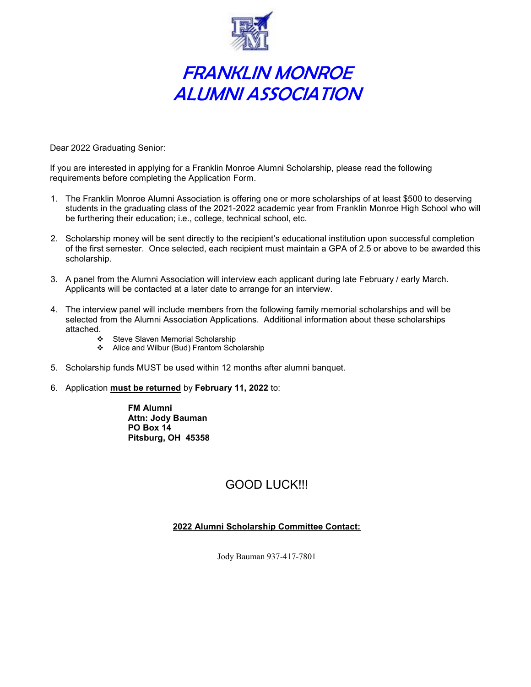

# FRANKLIN MONROE ALUMNI ASSOCIATION

Dear 2022 Graduating Senior:

If you are interested in applying for a Franklin Monroe Alumni Scholarship, please read the following requirements before completing the Application Form.

- 1. The Franklin Monroe Alumni Association is offering one or more scholarships of at least \$500 to deserving students in the graduating class of the 2021-2022 academic year from Franklin Monroe High School who will be furthering their education; i.e., college, technical school, etc.
- 2. Scholarship money will be sent directly to the recipient's educational institution upon successful completion of the first semester. Once selected, each recipient must maintain a GPA of 2.5 or above to be awarded this scholarship.
- 3. A panel from the Alumni Association will interview each applicant during late February / early March. Applicants will be contacted at a later date to arrange for an interview.
- 4. The interview panel will include members from the following family memorial scholarships and will be selected from the Alumni Association Applications. Additional information about these scholarships attached.
	- Steve Slaven Memorial Scholarship
	- Alice and Wilbur (Bud) Frantom Scholarship
- 5. Scholarship funds MUST be used within 12 months after alumni banquet.
- 6. Application must be returned by February 11, 2022 to:

FM Alumni Attn: Jody Bauman PO Box 14 Pitsburg, OH 45358

# GOOD LUCK!!!

#### 2022 Alumni Scholarship Committee Contact:

Jody Bauman 937-417-7801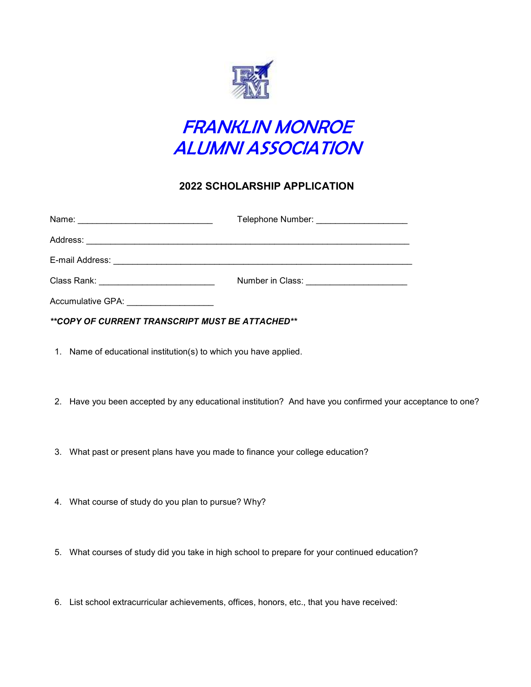



## 2022 SCHOLARSHIP APPLICATION

|                                                 | Telephone Number: ______________________  |
|-------------------------------------------------|-------------------------------------------|
|                                                 |                                           |
|                                                 |                                           |
| Class Rank: _____________________________       | Number in Class: ________________________ |
|                                                 |                                           |
| **COPY OF CURRENT TRANSCRIPT MUST BE ATTACHED** |                                           |

- 1. Name of educational institution(s) to which you have applied.
- 2. Have you been accepted by any educational institution? And have you confirmed your acceptance to one?
- 3. What past or present plans have you made to finance your college education?
- 4. What course of study do you plan to pursue? Why?
- 5. What courses of study did you take in high school to prepare for your continued education?
- 6. List school extracurricular achievements, offices, honors, etc., that you have received: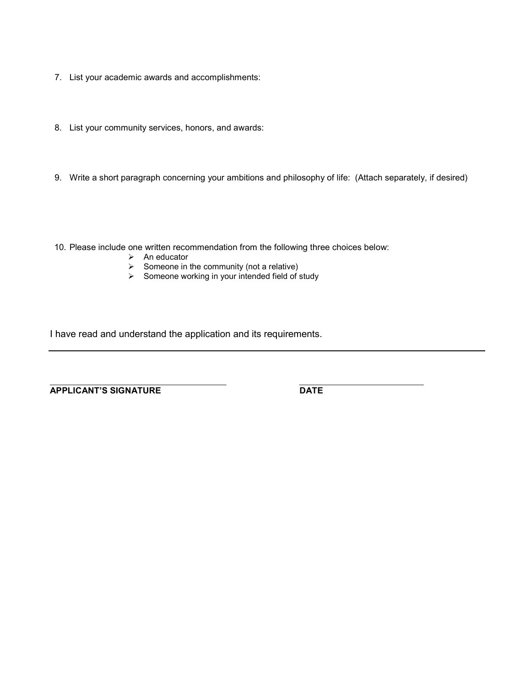- 7. List your academic awards and accomplishments:
- 8. List your community services, honors, and awards:
- 9. Write a short paragraph concerning your ambitions and philosophy of life: (Attach separately, if desired)
- 10. Please include one written recommendation from the following three choices below:
	- $\triangleright$  An educator
	- $\triangleright$  Someone in the community (not a relative)
	- $\triangleright$  Someone working in your intended field of study

I have read and understand the application and its requirements.

APPLICANT'S SIGNATURE DATE